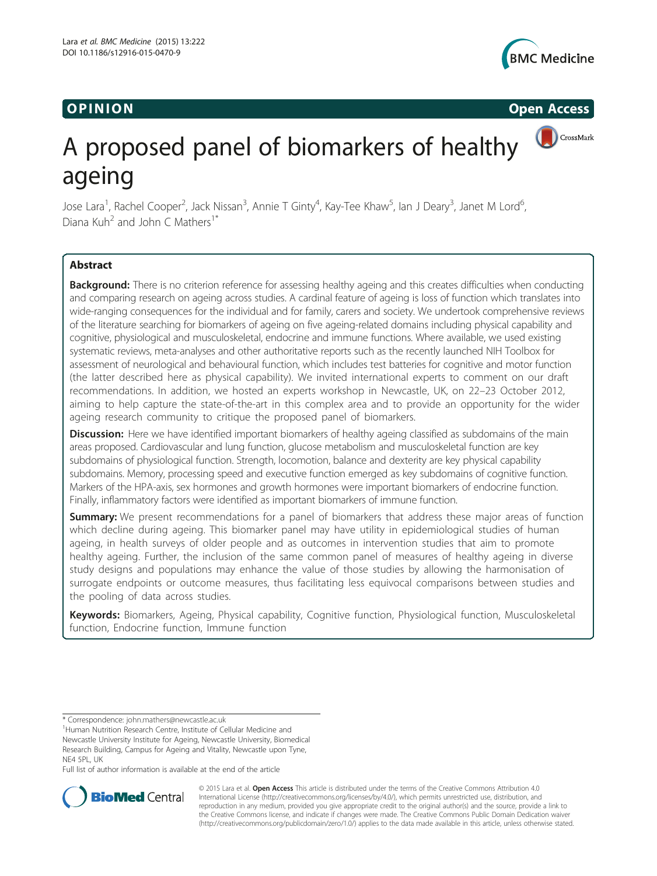

**OPINION** CONSERVATION CONTINUES AND OPEN ACCESS OPEN ACCESS OPEN ACCESS OPEN ACCESS

CrossMark

# A proposed panel of biomarkers of healthy ageing

Jose Lara<sup>1</sup>, Rachel Cooper<sup>2</sup>, Jack Nissan<sup>3</sup>, Annie T Ginty<sup>4</sup>, Kay-Tee Khaw<sup>5</sup>, Ian J Deary<sup>3</sup>, Janet M Lord<sup>6</sup> , Diana Kuh<sup>2</sup> and John C Mathers<sup>1\*</sup>

### Abstract

Background: There is no criterion reference for assessing healthy ageing and this creates difficulties when conducting and comparing research on ageing across studies. A cardinal feature of ageing is loss of function which translates into wide-ranging consequences for the individual and for family, carers and society. We undertook comprehensive reviews of the literature searching for biomarkers of ageing on five ageing-related domains including physical capability and cognitive, physiological and musculoskeletal, endocrine and immune functions. Where available, we used existing systematic reviews, meta-analyses and other authoritative reports such as the recently launched NIH Toolbox for assessment of neurological and behavioural function, which includes test batteries for cognitive and motor function (the latter described here as physical capability). We invited international experts to comment on our draft recommendations. In addition, we hosted an experts workshop in Newcastle, UK, on 22–23 October 2012, aiming to help capture the state-of-the-art in this complex area and to provide an opportunity for the wider ageing research community to critique the proposed panel of biomarkers.

**Discussion:** Here we have identified important biomarkers of healthy ageing classified as subdomains of the main areas proposed. Cardiovascular and lung function, glucose metabolism and musculoskeletal function are key subdomains of physiological function. Strength, locomotion, balance and dexterity are key physical capability subdomains. Memory, processing speed and executive function emerged as key subdomains of cognitive function. Markers of the HPA-axis, sex hormones and growth hormones were important biomarkers of endocrine function. Finally, inflammatory factors were identified as important biomarkers of immune function.

**Summary:** We present recommendations for a panel of biomarkers that address these major areas of function which decline during ageing. This biomarker panel may have utility in epidemiological studies of human ageing, in health surveys of older people and as outcomes in intervention studies that aim to promote healthy ageing. Further, the inclusion of the same common panel of measures of healthy ageing in diverse study designs and populations may enhance the value of those studies by allowing the harmonisation of surrogate endpoints or outcome measures, thus facilitating less equivocal comparisons between studies and the pooling of data across studies.

Keywords: Biomarkers, Ageing, Physical capability, Cognitive function, Physiological function, Musculoskeletal function, Endocrine function, Immune function

<sup>1</sup> Human Nutrition Research Centre, Institute of Cellular Medicine and

Newcastle University Institute for Ageing, Newcastle University, Biomedical Research Building, Campus for Ageing and Vitality, Newcastle upon Tyne, NE4 5PL, UK

Full list of author information is available at the end of the article



© 2015 Lara et al. Open Access This article is distributed under the terms of the Creative Commons Attribution 4.0 International License [\(http://creativecommons.org/licenses/by/4.0/](http://creativecommons.org/licenses/by/4.0/)), which permits unrestricted use, distribution, and reproduction in any medium, provided you give appropriate credit to the original author(s) and the source, provide a link to the Creative Commons license, and indicate if changes were made. The Creative Commons Public Domain Dedication waiver [\(http://creativecommons.org/publicdomain/zero/1.0/](http://creativecommons.org/publicdomain/zero/1.0/)) applies to the data made available in this article, unless otherwise stated.

<sup>\*</sup> Correspondence: [john.mathers@newcastle.ac.uk](mailto:john.mathers@newcastle.ac.uk) <sup>1</sup>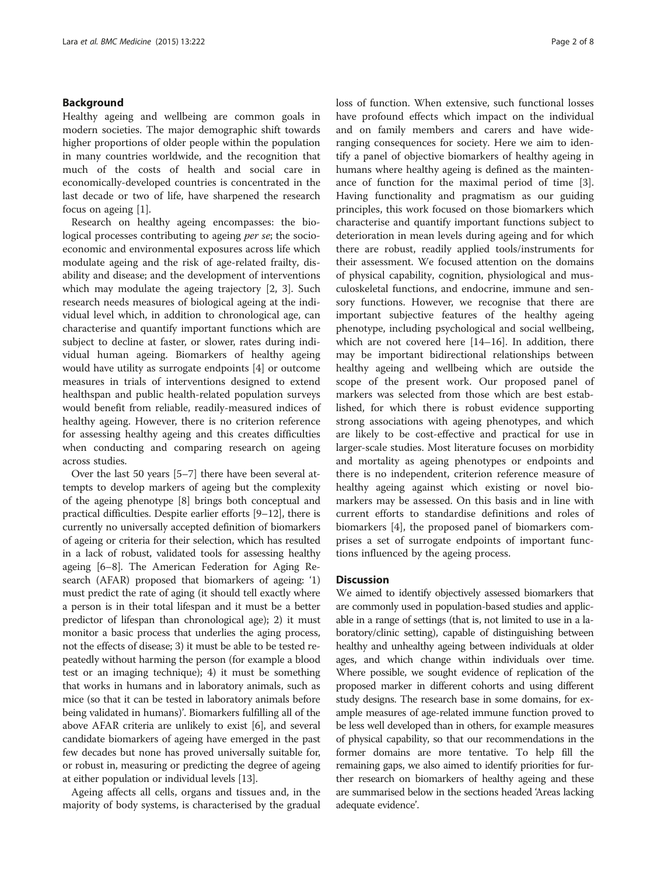#### Background

Healthy ageing and wellbeing are common goals in modern societies. The major demographic shift towards higher proportions of older people within the population in many countries worldwide, and the recognition that much of the costs of health and social care in economically-developed countries is concentrated in the last decade or two of life, have sharpened the research focus on ageing [[1\]](#page-6-0).

Research on healthy ageing encompasses: the biological processes contributing to ageing *per se*; the socioeconomic and environmental exposures across life which modulate ageing and the risk of age-related frailty, disability and disease; and the development of interventions which may modulate the ageing trajectory [\[2](#page-6-0), [3\]](#page-6-0). Such research needs measures of biological ageing at the individual level which, in addition to chronological age, can characterise and quantify important functions which are subject to decline at faster, or slower, rates during individual human ageing. Biomarkers of healthy ageing would have utility as surrogate endpoints [[4\]](#page-6-0) or outcome measures in trials of interventions designed to extend healthspan and public health-related population surveys would benefit from reliable, readily-measured indices of healthy ageing. However, there is no criterion reference for assessing healthy ageing and this creates difficulties when conducting and comparing research on ageing across studies.

Over the last 50 years [\[5](#page-6-0)–[7\]](#page-6-0) there have been several attempts to develop markers of ageing but the complexity of the ageing phenotype [\[8](#page-6-0)] brings both conceptual and practical difficulties. Despite earlier efforts [\[9](#page-6-0)–[12\]](#page-6-0), there is currently no universally accepted definition of biomarkers of ageing or criteria for their selection, which has resulted in a lack of robust, validated tools for assessing healthy ageing [[6](#page-6-0)–[8](#page-6-0)]. The American Federation for Aging Research (AFAR) proposed that biomarkers of ageing: '1) must predict the rate of aging (it should tell exactly where a person is in their total lifespan and it must be a better predictor of lifespan than chronological age); 2) it must monitor a basic process that underlies the aging process, not the effects of disease; 3) it must be able to be tested repeatedly without harming the person (for example a blood test or an imaging technique); 4) it must be something that works in humans and in laboratory animals, such as mice (so that it can be tested in laboratory animals before being validated in humans)'. Biomarkers fulfilling all of the above AFAR criteria are unlikely to exist [\[6](#page-6-0)], and several candidate biomarkers of ageing have emerged in the past few decades but none has proved universally suitable for, or robust in, measuring or predicting the degree of ageing at either population or individual levels [\[13\]](#page-6-0).

Ageing affects all cells, organs and tissues and, in the majority of body systems, is characterised by the gradual loss of function. When extensive, such functional losses have profound effects which impact on the individual and on family members and carers and have wideranging consequences for society. Here we aim to identify a panel of objective biomarkers of healthy ageing in humans where healthy ageing is defined as the maintenance of function for the maximal period of time [\[3](#page-6-0)]. Having functionality and pragmatism as our guiding principles, this work focused on those biomarkers which characterise and quantify important functions subject to deterioration in mean levels during ageing and for which there are robust, readily applied tools/instruments for their assessment. We focused attention on the domains of physical capability, cognition, physiological and musculoskeletal functions, and endocrine, immune and sensory functions. However, we recognise that there are important subjective features of the healthy ageing phenotype, including psychological and social wellbeing, which are not covered here [\[14](#page-6-0)–[16\]](#page-6-0). In addition, there may be important bidirectional relationships between healthy ageing and wellbeing which are outside the scope of the present work. Our proposed panel of markers was selected from those which are best established, for which there is robust evidence supporting strong associations with ageing phenotypes, and which are likely to be cost-effective and practical for use in larger-scale studies. Most literature focuses on morbidity and mortality as ageing phenotypes or endpoints and there is no independent, criterion reference measure of healthy ageing against which existing or novel biomarkers may be assessed. On this basis and in line with current efforts to standardise definitions and roles of biomarkers [[4](#page-6-0)], the proposed panel of biomarkers comprises a set of surrogate endpoints of important functions influenced by the ageing process.

#### Discussion

We aimed to identify objectively assessed biomarkers that are commonly used in population-based studies and applicable in a range of settings (that is, not limited to use in a laboratory/clinic setting), capable of distinguishing between healthy and unhealthy ageing between individuals at older ages, and which change within individuals over time. Where possible, we sought evidence of replication of the proposed marker in different cohorts and using different study designs. The research base in some domains, for example measures of age-related immune function proved to be less well developed than in others, for example measures of physical capability, so that our recommendations in the former domains are more tentative. To help fill the remaining gaps, we also aimed to identify priorities for further research on biomarkers of healthy ageing and these are summarised below in the sections headed 'Areas lacking adequate evidence'.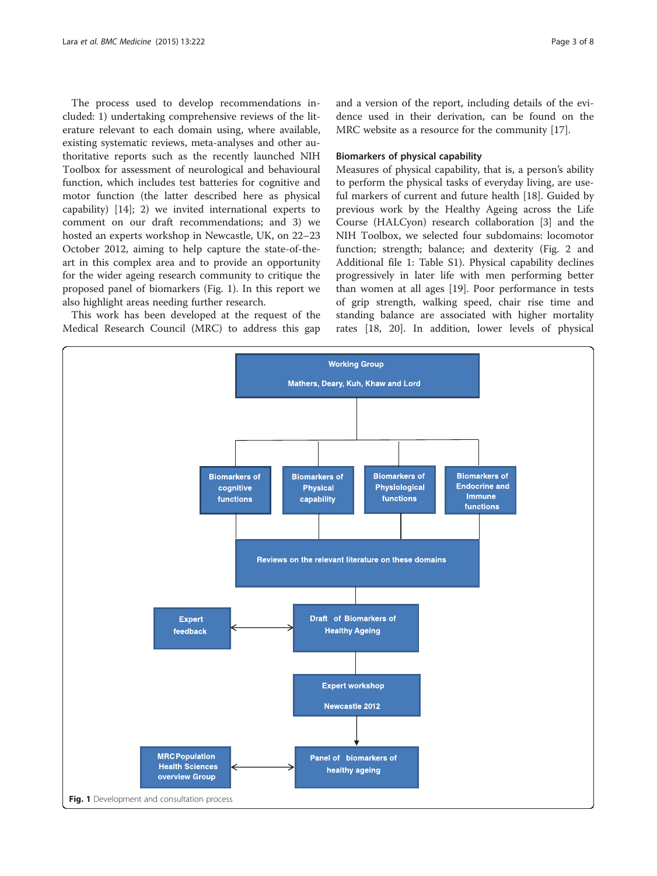The process used to develop recommendations included: 1) undertaking comprehensive reviews of the literature relevant to each domain using, where available, existing systematic reviews, meta-analyses and other authoritative reports such as the recently launched NIH Toolbox for assessment of neurological and behavioural function, which includes test batteries for cognitive and motor function (the latter described here as physical capability) [[14\]](#page-6-0); 2) we invited international experts to comment on our draft recommendations; and 3) we hosted an experts workshop in Newcastle, UK, on 22–23 October 2012, aiming to help capture the state-of-theart in this complex area and to provide an opportunity for the wider ageing research community to critique the proposed panel of biomarkers (Fig. 1). In this report we also highlight areas needing further research.

This work has been developed at the request of the Medical Research Council (MRC) to address this gap

and a version of the report, including details of the evidence used in their derivation, can be found on the MRC website as a resource for the community [\[17](#page-6-0)].

#### Biomarkers of physical capability

Measures of physical capability, that is, a person's ability to perform the physical tasks of everyday living, are useful markers of current and future health [\[18](#page-6-0)]. Guided by previous work by the Healthy Ageing across the Life Course (HALCyon) research collaboration [[3](#page-6-0)] and the NIH Toolbox, we selected four subdomains: locomotor function; strength; balance; and dexterity (Fig. [2](#page-3-0) and Additional file [1:](#page-5-0) Table S1). Physical capability declines progressively in later life with men performing better than women at all ages [\[19\]](#page-6-0). Poor performance in tests of grip strength, walking speed, chair rise time and standing balance are associated with higher mortality rates [\[18, 20\]](#page-6-0). In addition, lower levels of physical

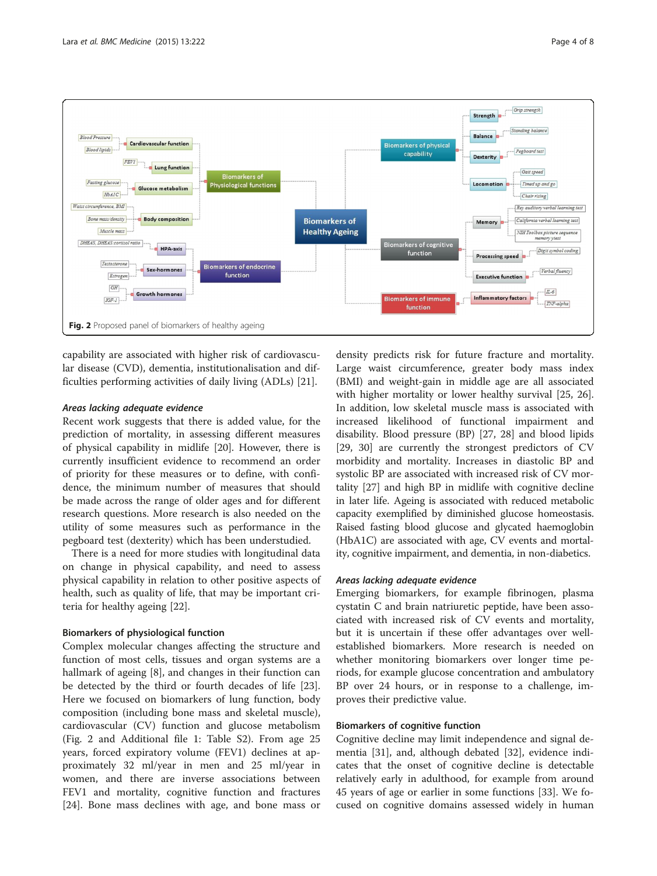

<span id="page-3-0"></span>

capability are associated with higher risk of cardiovascular disease (CVD), dementia, institutionalisation and difficulties performing activities of daily living (ADLs) [[21](#page-6-0)].

#### Areas lacking adequate evidence

Recent work suggests that there is added value, for the prediction of mortality, in assessing different measures of physical capability in midlife [\[20\]](#page-6-0). However, there is currently insufficient evidence to recommend an order of priority for these measures or to define, with confidence, the minimum number of measures that should be made across the range of older ages and for different research questions. More research is also needed on the utility of some measures such as performance in the pegboard test (dexterity) which has been understudied.

There is a need for more studies with longitudinal data on change in physical capability, and need to assess physical capability in relation to other positive aspects of health, such as quality of life, that may be important criteria for healthy ageing [\[22](#page-6-0)].

#### Biomarkers of physiological function

Complex molecular changes affecting the structure and function of most cells, tissues and organ systems are a hallmark of ageing [\[8](#page-6-0)], and changes in their function can be detected by the third or fourth decades of life [\[23](#page-6-0)]. Here we focused on biomarkers of lung function, body composition (including bone mass and skeletal muscle), cardiovascular (CV) function and glucose metabolism (Fig. 2 and Additional file [1](#page-5-0): Table S2). From age 25 years, forced expiratory volume (FEV1) declines at approximately 32 ml/year in men and 25 ml/year in women, and there are inverse associations between FEV1 and mortality, cognitive function and fractures [[24\]](#page-6-0). Bone mass declines with age, and bone mass or

density predicts risk for future fracture and mortality. Large waist circumference, greater body mass index (BMI) and weight-gain in middle age are all associated with higher mortality or lower healthy survival [[25, 26](#page-6-0)]. In addition, low skeletal muscle mass is associated with increased likelihood of functional impairment and disability. Blood pressure (BP) [[27, 28\]](#page-6-0) and blood lipids [[29,](#page-6-0) [30](#page-7-0)] are currently the strongest predictors of CV morbidity and mortality. Increases in diastolic BP and systolic BP are associated with increased risk of CV mortality [[27\]](#page-6-0) and high BP in midlife with cognitive decline in later life. Ageing is associated with reduced metabolic capacity exemplified by diminished glucose homeostasis. Raised fasting blood glucose and glycated haemoglobin (HbA1C) are associated with age, CV events and mortality, cognitive impairment, and dementia, in non-diabetics.

#### Areas lacking adequate evidence

Emerging biomarkers, for example fibrinogen, plasma cystatin C and brain natriuretic peptide, have been associated with increased risk of CV events and mortality, but it is uncertain if these offer advantages over wellestablished biomarkers. More research is needed on whether monitoring biomarkers over longer time periods, for example glucose concentration and ambulatory BP over 24 hours, or in response to a challenge, improves their predictive value.

#### Biomarkers of cognitive function

Cognitive decline may limit independence and signal dementia [\[31\]](#page-7-0), and, although debated [\[32](#page-7-0)], evidence indicates that the onset of cognitive decline is detectable relatively early in adulthood, for example from around 45 years of age or earlier in some functions [\[33\]](#page-7-0). We focused on cognitive domains assessed widely in human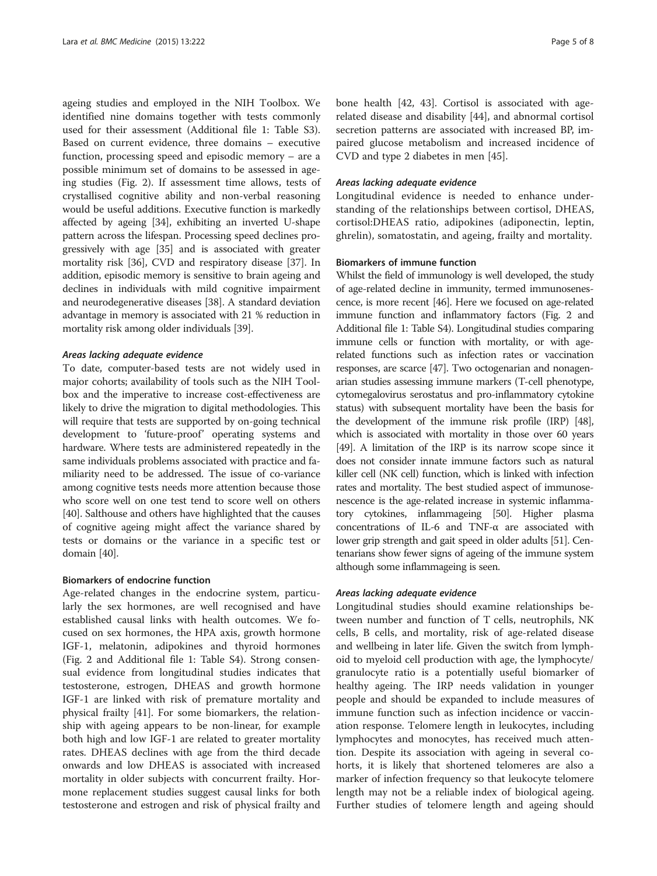ageing studies and employed in the NIH Toolbox. We identified nine domains together with tests commonly used for their assessment (Additional file [1](#page-5-0): Table S3). Based on current evidence, three domains – executive function, processing speed and episodic memory – are a possible minimum set of domains to be assessed in ageing studies (Fig. [2\)](#page-3-0). If assessment time allows, tests of crystallised cognitive ability and non-verbal reasoning would be useful additions. Executive function is markedly affected by ageing [[34](#page-7-0)], exhibiting an inverted U-shape pattern across the lifespan. Processing speed declines progressively with age [\[35](#page-7-0)] and is associated with greater mortality risk [[36](#page-7-0)], CVD and respiratory disease [\[37\]](#page-7-0). In addition, episodic memory is sensitive to brain ageing and declines in individuals with mild cognitive impairment and neurodegenerative diseases [[38](#page-7-0)]. A standard deviation advantage in memory is associated with 21 % reduction in mortality risk among older individuals [\[39\]](#page-7-0).

#### Areas lacking adequate evidence

To date, computer-based tests are not widely used in major cohorts; availability of tools such as the NIH Toolbox and the imperative to increase cost-effectiveness are likely to drive the migration to digital methodologies. This will require that tests are supported by on-going technical development to 'future-proof' operating systems and hardware. Where tests are administered repeatedly in the same individuals problems associated with practice and familiarity need to be addressed. The issue of co-variance among cognitive tests needs more attention because those who score well on one test tend to score well on others [[40](#page-7-0)]. Salthouse and others have highlighted that the causes of cognitive ageing might affect the variance shared by tests or domains or the variance in a specific test or domain [[40](#page-7-0)].

#### Biomarkers of endocrine function

Age-related changes in the endocrine system, particularly the sex hormones, are well recognised and have established causal links with health outcomes. We focused on sex hormones, the HPA axis, growth hormone IGF-1, melatonin, adipokines and thyroid hormones (Fig. [2](#page-3-0) and Additional file [1](#page-5-0): Table S4). Strong consensual evidence from longitudinal studies indicates that testosterone, estrogen, DHEAS and growth hormone IGF-1 are linked with risk of premature mortality and physical frailty [\[41\]](#page-7-0). For some biomarkers, the relationship with ageing appears to be non-linear, for example both high and low IGF-1 are related to greater mortality rates. DHEAS declines with age from the third decade onwards and low DHEAS is associated with increased mortality in older subjects with concurrent frailty. Hormone replacement studies suggest causal links for both testosterone and estrogen and risk of physical frailty and

bone health [[42, 43](#page-7-0)]. Cortisol is associated with agerelated disease and disability [\[44\]](#page-7-0), and abnormal cortisol secretion patterns are associated with increased BP, impaired glucose metabolism and increased incidence of CVD and type 2 diabetes in men [\[45](#page-7-0)].

#### Areas lacking adequate evidence

Longitudinal evidence is needed to enhance understanding of the relationships between cortisol, DHEAS, cortisol:DHEAS ratio, adipokines (adiponectin, leptin, ghrelin), somatostatin, and ageing, frailty and mortality.

#### Biomarkers of immune function

Whilst the field of immunology is well developed, the study of age-related decline in immunity, termed immunosenescence, is more recent [\[46\]](#page-7-0). Here we focused on age-related immune function and inflammatory factors (Fig. [2](#page-3-0) and Additional file [1:](#page-5-0) Table S4). Longitudinal studies comparing immune cells or function with mortality, or with agerelated functions such as infection rates or vaccination responses, are scarce [\[47\]](#page-7-0). Two octogenarian and nonagenarian studies assessing immune markers (T-cell phenotype, cytomegalovirus serostatus and pro-inflammatory cytokine status) with subsequent mortality have been the basis for the development of the immune risk profile (IRP) [\[48](#page-7-0)], which is associated with mortality in those over 60 years [[49](#page-7-0)]. A limitation of the IRP is its narrow scope since it does not consider innate immune factors such as natural killer cell (NK cell) function, which is linked with infection rates and mortality. The best studied aspect of immunosenescence is the age-related increase in systemic inflammatory cytokines, inflammageing [[50](#page-7-0)]. Higher plasma concentrations of IL-6 and TNF-α are associated with lower grip strength and gait speed in older adults [\[51\]](#page-7-0). Centenarians show fewer signs of ageing of the immune system although some inflammageing is seen.

#### Areas lacking adequate evidence

Longitudinal studies should examine relationships between number and function of T cells, neutrophils, NK cells, B cells, and mortality, risk of age-related disease and wellbeing in later life. Given the switch from lymphoid to myeloid cell production with age, the lymphocyte/ granulocyte ratio is a potentially useful biomarker of healthy ageing. The IRP needs validation in younger people and should be expanded to include measures of immune function such as infection incidence or vaccination response. Telomere length in leukocytes, including lymphocytes and monocytes, has received much attention. Despite its association with ageing in several cohorts, it is likely that shortened telomeres are also a marker of infection frequency so that leukocyte telomere length may not be a reliable index of biological ageing. Further studies of telomere length and ageing should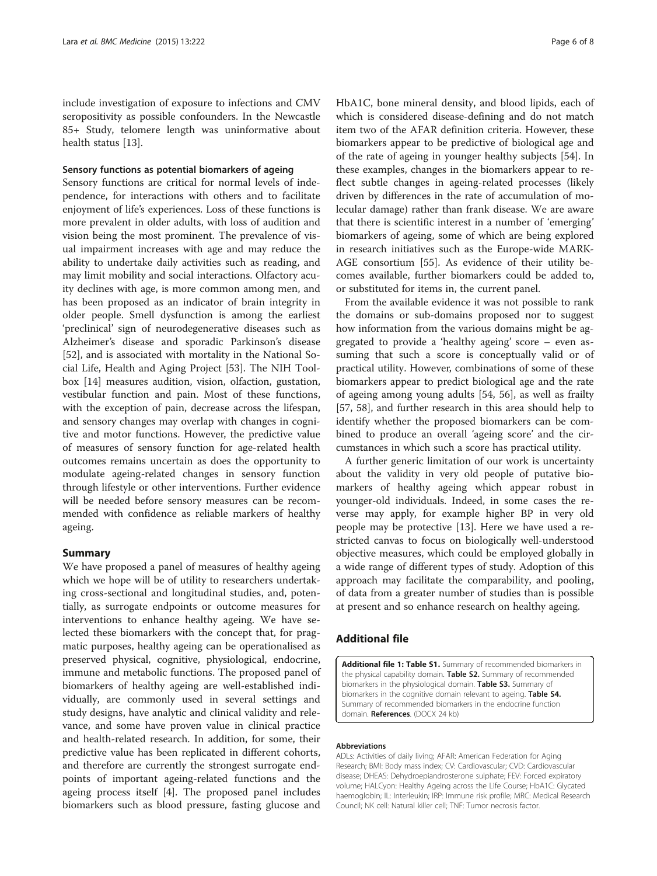<span id="page-5-0"></span>include investigation of exposure to infections and CMV seropositivity as possible confounders. In the Newcastle 85+ Study, telomere length was uninformative about health status [[13](#page-6-0)].

#### Sensory functions as potential biomarkers of ageing

Sensory functions are critical for normal levels of independence, for interactions with others and to facilitate enjoyment of life's experiences. Loss of these functions is more prevalent in older adults, with loss of audition and vision being the most prominent. The prevalence of visual impairment increases with age and may reduce the ability to undertake daily activities such as reading, and may limit mobility and social interactions. Olfactory acuity declines with age, is more common among men, and has been proposed as an indicator of brain integrity in older people. Smell dysfunction is among the earliest 'preclinical' sign of neurodegenerative diseases such as Alzheimer's disease and sporadic Parkinson's disease [[52\]](#page-7-0), and is associated with mortality in the National Social Life, Health and Aging Project [[53](#page-7-0)]. The NIH Toolbox [\[14\]](#page-6-0) measures audition, vision, olfaction, gustation, vestibular function and pain. Most of these functions, with the exception of pain, decrease across the lifespan, and sensory changes may overlap with changes in cognitive and motor functions. However, the predictive value of measures of sensory function for age-related health outcomes remains uncertain as does the opportunity to modulate ageing-related changes in sensory function through lifestyle or other interventions. Further evidence will be needed before sensory measures can be recommended with confidence as reliable markers of healthy ageing.

#### Summary

We have proposed a panel of measures of healthy ageing which we hope will be of utility to researchers undertaking cross-sectional and longitudinal studies, and, potentially, as surrogate endpoints or outcome measures for interventions to enhance healthy ageing. We have selected these biomarkers with the concept that, for pragmatic purposes, healthy ageing can be operationalised as preserved physical, cognitive, physiological, endocrine, immune and metabolic functions. The proposed panel of biomarkers of healthy ageing are well-established individually, are commonly used in several settings and study designs, have analytic and clinical validity and relevance, and some have proven value in clinical practice and health-related research. In addition, for some, their predictive value has been replicated in different cohorts, and therefore are currently the strongest surrogate endpoints of important ageing-related functions and the ageing process itself [[4\]](#page-6-0). The proposed panel includes biomarkers such as blood pressure, fasting glucose and

HbA1C, bone mineral density, and blood lipids, each of which is considered disease-defining and do not match item two of the AFAR definition criteria. However, these biomarkers appear to be predictive of biological age and of the rate of ageing in younger healthy subjects [\[54](#page-7-0)]. In these examples, changes in the biomarkers appear to reflect subtle changes in ageing-related processes (likely driven by differences in the rate of accumulation of molecular damage) rather than frank disease. We are aware that there is scientific interest in a number of 'emerging' biomarkers of ageing, some of which are being explored in research initiatives such as the Europe-wide MARK-AGE consortium [\[55\]](#page-7-0). As evidence of their utility becomes available, further biomarkers could be added to, or substituted for items in, the current panel.

From the available evidence it was not possible to rank the domains or sub-domains proposed nor to suggest how information from the various domains might be aggregated to provide a 'healthy ageing' score – even assuming that such a score is conceptually valid or of practical utility. However, combinations of some of these biomarkers appear to predict biological age and the rate of ageing among young adults [\[54, 56\]](#page-7-0), as well as frailty [[57, 58\]](#page-7-0), and further research in this area should help to identify whether the proposed biomarkers can be combined to produce an overall 'ageing score' and the circumstances in which such a score has practical utility.

A further generic limitation of our work is uncertainty about the validity in very old people of putative biomarkers of healthy ageing which appear robust in younger-old individuals. Indeed, in some cases the reverse may apply, for example higher BP in very old people may be protective [[13\]](#page-6-0). Here we have used a restricted canvas to focus on biologically well-understood objective measures, which could be employed globally in a wide range of different types of study. Adoption of this approach may facilitate the comparability, and pooling, of data from a greater number of studies than is possible at present and so enhance research on healthy ageing.

#### Additional file

[Additional file 1: Table S1.](http://www.biomedcentral.com/content/supplementary/s12916-015-0470-9-s1.docx) Summary of recommended biomarkers in the physical capability domain. Table S2. Summary of recommended biomarkers in the physiological domain. Table S3. Summary of biomarkers in the cognitive domain relevant to ageing. Table S4. Summary of recommended biomarkers in the endocrine function domain. References. (DOCX 24 kb)

#### Abbreviations

ADLs: Activities of daily living; AFAR: American Federation for Aging Research; BMI: Body mass index; CV: Cardiovascular; CVD: Cardiovascular disease; DHEAS: Dehydroepiandrosterone sulphate; FEV: Forced expiratory volume; HALCyon: Healthy Ageing across the Life Course; HbA1C: Glycated haemoglobin; IL: Interleukin; IRP: Immune risk profile; MRC: Medical Research Council; NK cell: Natural killer cell; TNF: Tumor necrosis factor.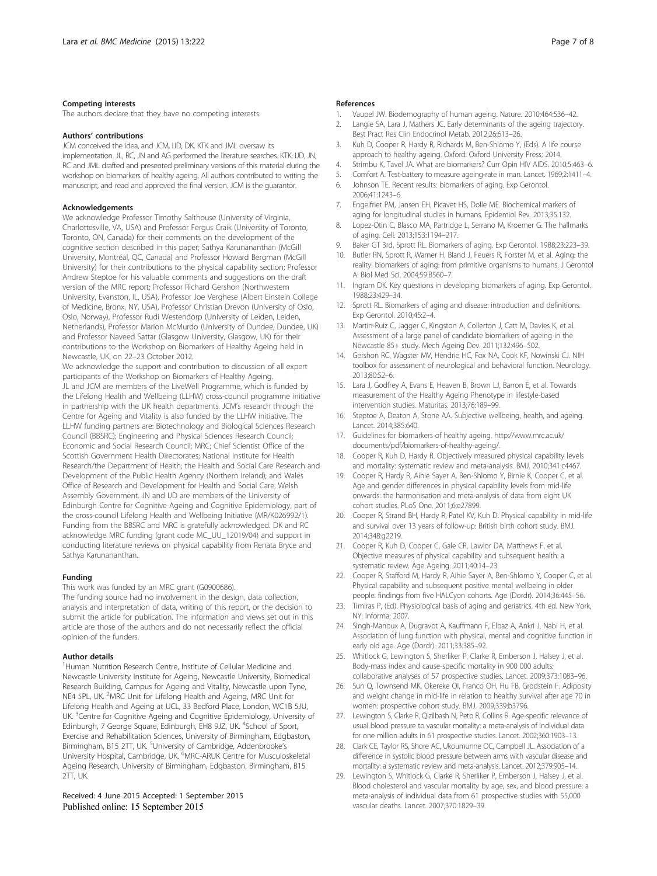#### <span id="page-6-0"></span>Competing interests

The authors declare that they have no competing interests.

#### Authors' contributions

JCM conceived the idea, and JCM, IJD, DK, KTK and JML oversaw its implementation. JL, RC, JN and AG performed the literature searches. KTK, IJD, JN, RC and JML drafted and presented preliminary versions of this material during the workshop on biomarkers of healthy ageing. All authors contributed to writing the manuscript, and read and approved the final version. JCM is the guarantor.

#### Acknowledgements

We acknowledge Professor Timothy Salthouse (University of Virginia, Charlottesville, VA, USA) and Professor Fergus Craik (University of Toronto, Toronto, ON, Canada) for their comments on the development of the cognitive section described in this paper; Sathya Karunananthan (McGill University, Montréal, QC, Canada) and Professor Howard Bergman (McGill University) for their contributions to the physical capability section; Professor Andrew Steptoe for his valuable comments and suggestions on the draft version of the MRC report; Professor Richard Gershon (Northwestern University, Evanston, IL, USA), Professor Joe Verghese (Albert Einstein College of Medicine, Bronx, NY, USA), Professor Christian Drevon (University of Oslo, Oslo, Norway), Professor Rudi Westendorp (University of Leiden, Leiden, Netherlands), Professor Marion McMurdo (University of Dundee, Dundee, UK) and Professor Naveed Sattar (Glasgow University, Glasgow, UK) for their contributions to the Workshop on Biomarkers of Healthy Ageing held in Newcastle, UK, on 22–23 October 2012.

We acknowledge the support and contribution to discussion of all expert participants of the Workshop on Biomarkers of Healthy Ageing. JL and JCM are members of the LiveWell Programme, which is funded by the Lifelong Health and Wellbeing (LLHW) cross-council programme initiative in partnership with the UK health departments. JCM's research through the Centre for Ageing and Vitality is also funded by the LLHW initiative. The LLHW funding partners are: Biotechnology and Biological Sciences Research Council (BBSRC); Engineering and Physical Sciences Research Council; Economic and Social Research Council; MRC; Chief Scientist Office of the Scottish Government Health Directorates; National Institute for Health Research/the Department of Health; the Health and Social Care Research and Development of the Public Health Agency (Northern Ireland); and Wales Office of Research and Development for Health and Social Care, Welsh Assembly Government. JN and IJD are members of the University of Edinburgh Centre for Cognitive Ageing and Cognitive Epidemiology, part of the cross-council Lifelong Health and Wellbeing Initiative (MR/K026992/1). Funding from the BBSRC and MRC is gratefully acknowledged. DK and RC acknowledge MRC funding (grant code MC\_UU\_12019/04) and support in conducting literature reviews on physical capability from Renata Bryce and Sathya Karunananthan.

#### Funding

This work was funded by an MRC grant (G0900686).

The funding source had no involvement in the design, data collection, analysis and interpretation of data, writing of this report, or the decision to submit the article for publication. The information and views set out in this article are those of the authors and do not necessarily reflect the official opinion of the funders.

#### Author details

<sup>1</sup>Human Nutrition Research Centre, Institute of Cellular Medicine and Newcastle University Institute for Ageing, Newcastle University, Biomedical Research Building, Campus for Ageing and Vitality, Newcastle upon Tyne, NE4 5PL, UK. <sup>2</sup>MRC Unit for Lifelong Health and Ageing, MRC Unit for Lifelong Health and Ageing at UCL, 33 Bedford Place, London, WC1B 5JU, UK. <sup>3</sup>Centre for Cognitive Ageing and Cognitive Epidemiology, University of Edinburgh, 7 George Square, Edinburgh, EH8 9JZ, UK. <sup>4</sup>School of Sport, Exercise and Rehabilitation Sciences, University of Birmingham, Edgbaston, Birmingham, B15 2TT, UK. <sup>5</sup>University of Cambridge, Addenbrooke's University Hospital, Cambridge, UK. <sup>6</sup>MRC-ARUK Centre for Musculoskeletal Ageing Research, University of Birmingham, Edgbaston, Birmingham, B15 2TT, UK.

#### Received: 4 June 2015 Accepted: 1 September 2015 Published online: 15 September 2015

#### References

- 1. Vaupel JW. Biodemography of human ageing. Nature. 2010;464:536–42.
- 2. Langie SA, Lara J, Mathers JC. Early determinants of the ageing trajectory. Best Pract Res Clin Endocrinol Metab. 2012;26:613–26.
- 3. Kuh D, Cooper R, Hardy R, Richards M, Ben-Shlomo Y, (Eds). A life course approach to healthy ageing. Oxford: Oxford University Press; 2014.
- 4. Strimbu K, Tavel JA. What are biomarkers? Curr Opin HIV AIDS. 2010;5:463–6.
- 5. Comfort A. Test-battery to measure ageing-rate in man. Lancet. 1969;2:1411–4.
- 6. Johnson TE. Recent results: biomarkers of aging. Exp Gerontol. 2006;41:1243–6.
- 7. Engelfriet PM, Jansen EH, Picavet HS, Dolle ME. Biochemical markers of aging for longitudinal studies in humans. Epidemiol Rev. 2013;35:132.
- 8. Lopez-Otin C, Blasco MA, Partridge L, Serrano M, Kroemer G. The hallmarks of aging. Cell. 2013;153:1194–217.
- 9. Baker GT 3rd, Sprott RL. Biomarkers of aging. Exp Gerontol. 1988;23:223–39.
- 10. Butler RN, Sprott R, Warner H, Bland J, Feuers R, Forster M, et al. Aging: the reality: biomarkers of aging: from primitive organisms to humans. J Gerontol A: Biol Med Sci. 2004;59:B560–7.
- 11. Ingram DK. Key questions in developing biomarkers of aging. Exp Gerontol. 1988;23:429–34.
- 12. Sprott RL. Biomarkers of aging and disease: introduction and definitions. Exp Gerontol. 2010;45:2–4.
- 13. Martin-Ruiz C, Jagger C, Kingston A, Collerton J, Catt M, Davies K, et al. Assessment of a large panel of candidate biomarkers of ageing in the Newcastle 85+ study. Mech Ageing Dev. 2011;132:496–502.
- 14. Gershon RC, Wagster MV, Hendrie HC, Fox NA, Cook KF, Nowinski CJ. NIH toolbox for assessment of neurological and behavioral function. Neurology. 2013;80:S2–6.
- 15. Lara J, Godfrey A, Evans E, Heaven B, Brown LJ, Barron E, et al. Towards measurement of the Healthy Ageing Phenotype in lifestyle-based intervention studies. Maturitas. 2013;76:189–99.
- 16. Steptoe A, Deaton A, Stone AA. Subjective wellbeing, health, and ageing. Lancet. 2014;385:640.
- 17. Guidelines for biomarkers of healthy ageing. [http://www.mrc.ac.uk/](http://www.mrc.ac.uk/documents/pdf/biomarkers-of-healthy-ageing/) [documents/pdf/biomarkers-of-healthy-ageing/](http://www.mrc.ac.uk/documents/pdf/biomarkers-of-healthy-ageing/).
- 18. Cooper R, Kuh D, Hardy R. Objectively measured physical capability levels and mortality: systematic review and meta-analysis. BMJ. 2010;341:c4467.
- 19. Cooper R, Hardy R, Aihie Sayer A, Ben-Shlomo Y, Birnie K, Cooper C, et al. Age and gender differences in physical capability levels from mid-life onwards: the harmonisation and meta-analysis of data from eight UK cohort studies. PLoS One. 2011;6:e27899.
- 20. Cooper R, Strand BH, Hardy R, Patel KV, Kuh D. Physical capability in mid-life and survival over 13 years of follow-up: British birth cohort study. BMJ. 2014;348:g2219.
- 21. Cooper R, Kuh D, Cooper C, Gale CR, Lawlor DA, Matthews F, et al. Objective measures of physical capability and subsequent health: a systematic review. Age Ageing. 2011;40:14–23.
- 22. Cooper R, Stafford M, Hardy R, Aihie Sayer A, Ben-Shlomo Y, Cooper C, et al. Physical capability and subsequent positive mental wellbeing in older people: findings from five HALCyon cohorts. Age (Dordr). 2014;36:445–56.
- 23. Timiras P, (Ed). Physiological basis of aging and geriatrics. 4th ed. New York, NY: Informa; 2007.
- 24. Singh-Manoux A, Dugravot A, Kauffmann F, Elbaz A, Ankri J, Nabi H, et al. Association of lung function with physical, mental and cognitive function in early old age. Age (Dordr). 2011;33:385–92.
- 25. Whitlock G, Lewington S, Sherliker P, Clarke R, Emberson J, Halsey J, et al. Body-mass index and cause-specific mortality in 900 000 adults: collaborative analyses of 57 prospective studies. Lancet. 2009;373:1083–96.
- 26. Sun Q, Townsend MK, Okereke OI, Franco OH, Hu FB, Grodstein F. Adiposity and weight change in mid-life in relation to healthy survival after age 70 in women: prospective cohort study. BMJ. 2009;339:b3796.
- 27. Lewington S, Clarke R, Qizilbash N, Peto R, Collins R. Age-specific relevance of usual blood pressure to vascular mortality: a meta-analysis of individual data for one million adults in 61 prospective studies. Lancet. 2002;360:1903–13.
- 28. Clark CE, Taylor RS, Shore AC, Ukoumunne OC, Campbell JL. Association of a difference in systolic blood pressure between arms with vascular disease and mortality: a systematic review and meta-analysis. Lancet. 2012;379:905–14.
- 29. Lewington S, Whitlock G, Clarke R, Sherliker P, Emberson J, Halsey J, et al. Blood cholesterol and vascular mortality by age, sex, and blood pressure: a meta-analysis of individual data from 61 prospective studies with 55,000 vascular deaths. Lancet. 2007;370:1829–39.